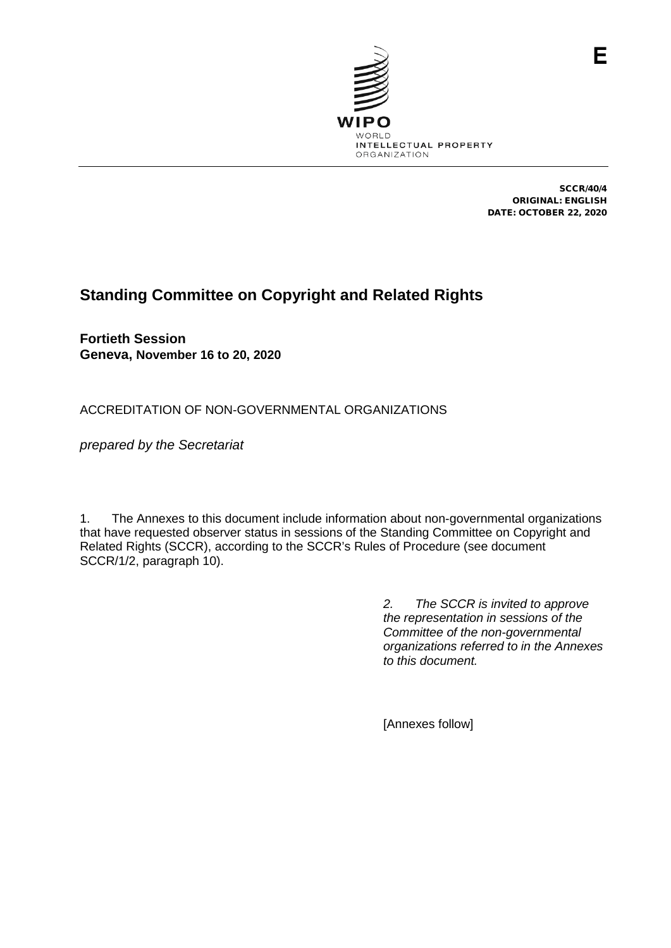

SCCR/40/4 ORIGINAL: ENGLISH DATE: OCTOBER 22, 2020

F

# **Standing Committee on Copyright and Related Rights**

**Fortieth Session Geneva, November 16 to 20, 2020**

ACCREDITATION OF NON-GOVERNMENTAL ORGANIZATIONS

*prepared by the Secretariat*

1. The Annexes to this document include information about non-governmental organizations that have requested observer status in sessions of the Standing Committee on Copyright and Related Rights (SCCR), according to the SCCR's Rules of Procedure (see document SCCR/1/2, paragraph 10).

> *2. The SCCR is invited to approve the representation in sessions of the Committee of the non-governmental organizations referred to in the Annexes to this document.*

[Annexes follow]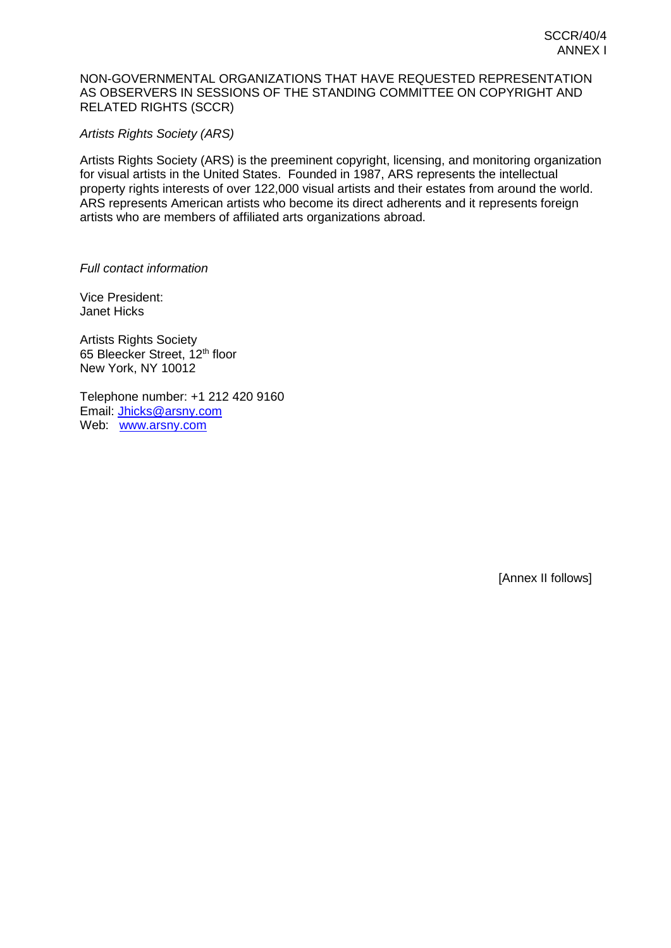## NON-GOVERNMENTAL ORGANIZATIONS THAT HAVE REQUESTED REPRESENTATION AS OBSERVERS IN SESSIONS OF THE STANDING COMMITTEE ON COPYRIGHT AND RELATED RIGHTS (SCCR)

# *Artists Rights Society (ARS)*

Artists Rights Society (ARS) is the preeminent copyright, licensing, and monitoring organization for visual artists in the United States. Founded in 1987, ARS represents the intellectual property rights interests of over 122,000 visual artists and their estates from around the world. ARS represents American artists who become its direct adherents and it represents foreign artists who are members of affiliated arts organizations abroad.

# *Full contact information*

Vice President: Janet Hicks

Artists Rights Society 65 Bleecker Street, 12th floor New York, NY 10012

Telephone number: +1 212 420 9160 Email: [Jhicks@arsny.com](mailto:Jhicks@arsny.com) Web: [www.arsny.com](http://www.arsny.com/)

[Annex II follows]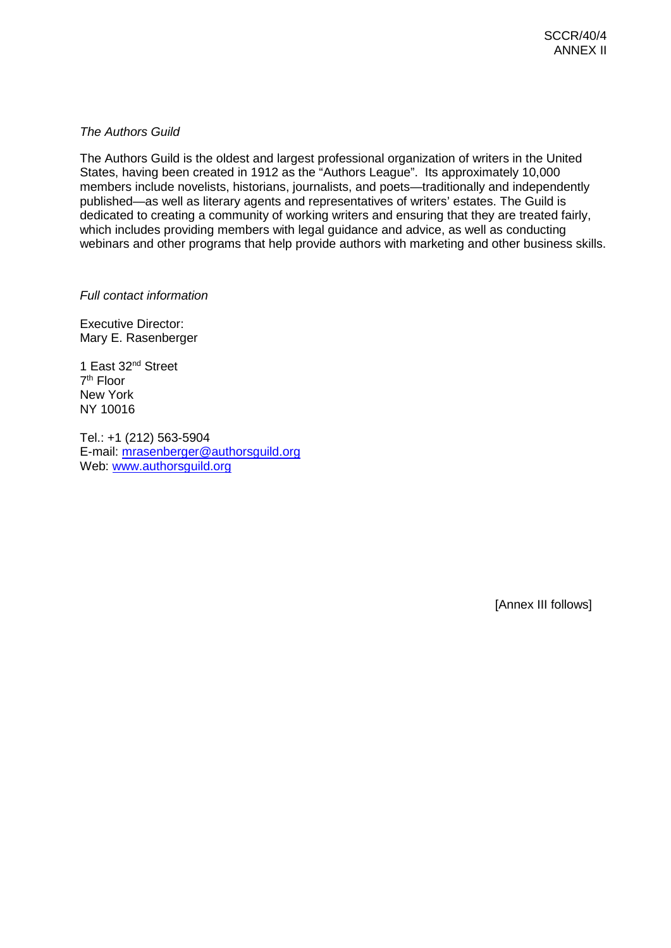# *The Authors Guild*

The Authors Guild is the oldest and largest professional organization of writers in the United States, having been created in 1912 as the "Authors League". Its approximately 10,000 members include novelists, historians, journalists, and poets—traditionally and independently published—as well as literary agents and representatives of writers' estates. The Guild is dedicated to creating a community of working writers and ensuring that they are treated fairly, which includes providing members with legal guidance and advice, as well as conducting webinars and other programs that help provide authors with marketing and other business skills.

*Full contact information*

Executive Director: Mary E. Rasenberger

1 East 32nd Street 7th Floor New York NY 10016

Tel.: +1 (212) 563-5904 E-mail: [mrasenberger@authorsguild.org](mailto:mrasenberger@authorsguild.org)  Web: [www.authorsguild.org](http://www.authorsguild.org/)

[Annex III follows]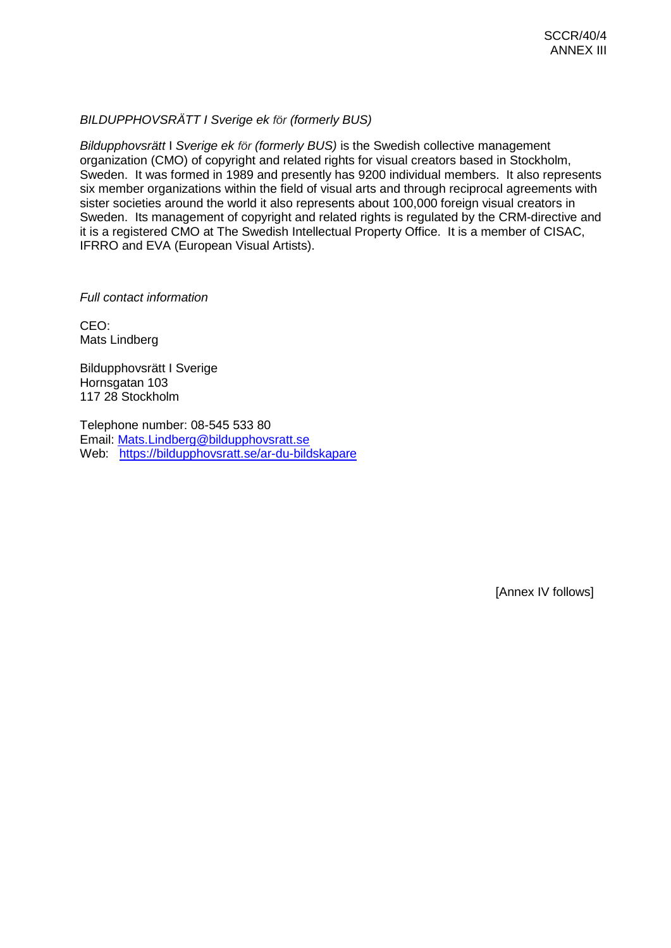# *BILDUPPHOVSRÄTT I Sverige ek för (formerly BUS)*

*Bildupphovsrätt* I *Sverige ek för (formerly BUS)* is the Swedish collective management organization (CMO) of copyright and related rights for visual creators based in Stockholm, Sweden. It was formed in 1989 and presently has 9200 individual members. It also represents six member organizations within the field of visual arts and through reciprocal agreements with sister societies around the world it also represents about 100,000 foreign visual creators in Sweden. Its management of copyright and related rights is regulated by the CRM-directive and it is a registered CMO at The Swedish Intellectual Property Office. It is a member of CISAC, IFRRO and EVA (European Visual Artists).

#### *Full contact information*

CEO: Mats Lindberg

Bildupphovsrätt I Sverige Hornsgatan 103 117 28 Stockholm

Telephone number: 08-545 533 80 Email: [Mats.Lindberg@bildupphovsratt.se](mailto:Mats.Lindberg@bildupphovsratt.se) Web: <https://bildupphovsratt.se/ar-du-bildskapare>

[Annex IV follows]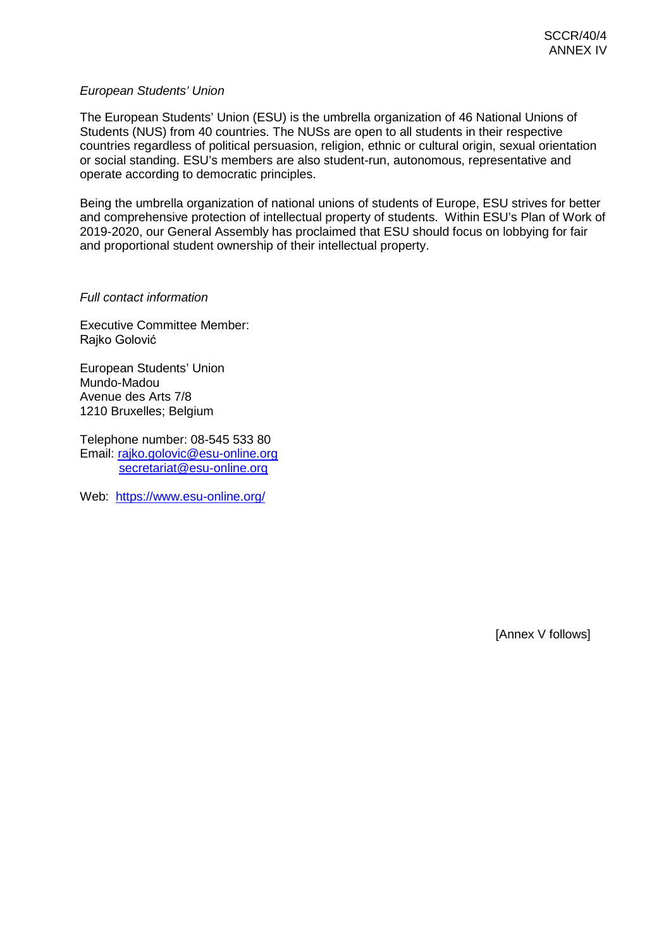# *European Students' Union*

The European Students' Union (ESU) is the umbrella organization of 46 National Unions of Students (NUS) from 40 countries. The NUSs are open to all students in their respective countries regardless of political persuasion, religion, ethnic or cultural origin, sexual orientation or social standing. ESU's members are also student-run, autonomous, representative and operate according to democratic principles.

Being the umbrella organization of national unions of students of Europe, ESU strives for better and comprehensive protection of intellectual property of students. Within ESU's Plan of Work of 2019-2020, our General Assembly has proclaimed that ESU should focus on lobbying for fair and proportional student ownership of their intellectual property.

#### *Full contact information*

Executive Committee Member: Rajko Golović

European Students' Union Mundo-Madou Avenue des Arts 7/8 1210 Bruxelles; Belgium

Telephone number: 08-545 533 80 Email: [rajko.golovic@esu-online.org](mailto:rajko.golovic@esu-online.org) [secretariat@esu-online.org](mailto:secretariat@esu-online.org)

Web: <https://www.esu-online.org/>

[Annex V follows]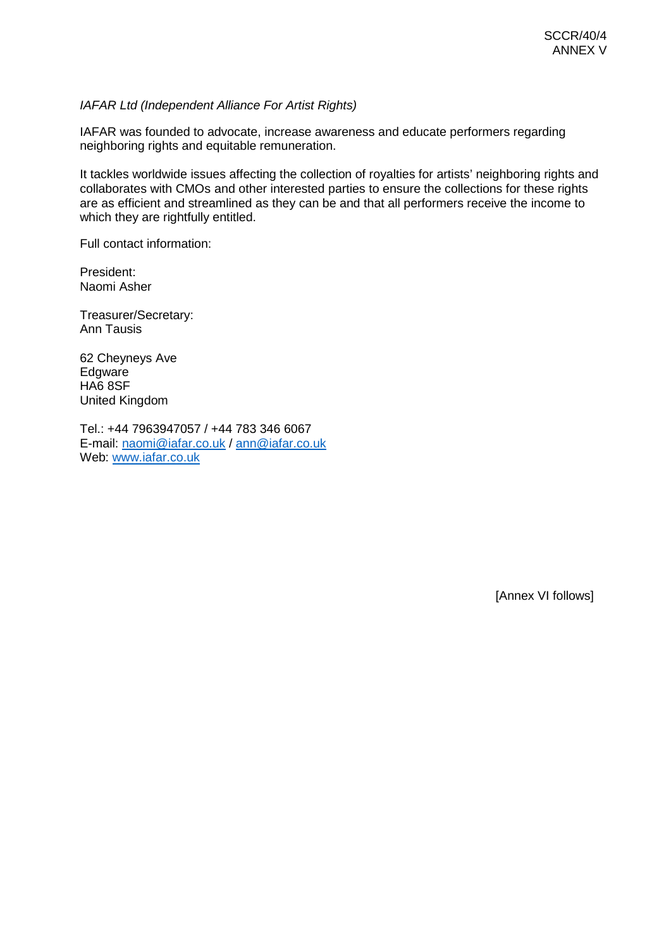# *IAFAR Ltd (Independent Alliance For Artist Rights)*

IAFAR was founded to advocate, increase awareness and educate performers regarding neighboring rights and equitable remuneration.

It tackles worldwide issues affecting the collection of royalties for artists' neighboring rights and collaborates with CMOs and other interested parties to ensure the collections for these rights are as efficient and streamlined as they can be and that all performers receive the income to which they are rightfully entitled.

Full contact information:

President: Naomi Asher

Treasurer/Secretary: Ann Tausis

62 Cheyneys Ave Edgware HA6 8SF United Kingdom

Tel.: +44 7963947057 / +44 783 346 6067 E-mail: [naomi@iafar.co.uk](mailto:naomi@iafar.co.uk) / [ann@iafar.co.uk](mailto:ann@iafar.co.uk) Web: [www.iafar.co.uk](http://www.iafar.co.uk/)

[Annex VI follows]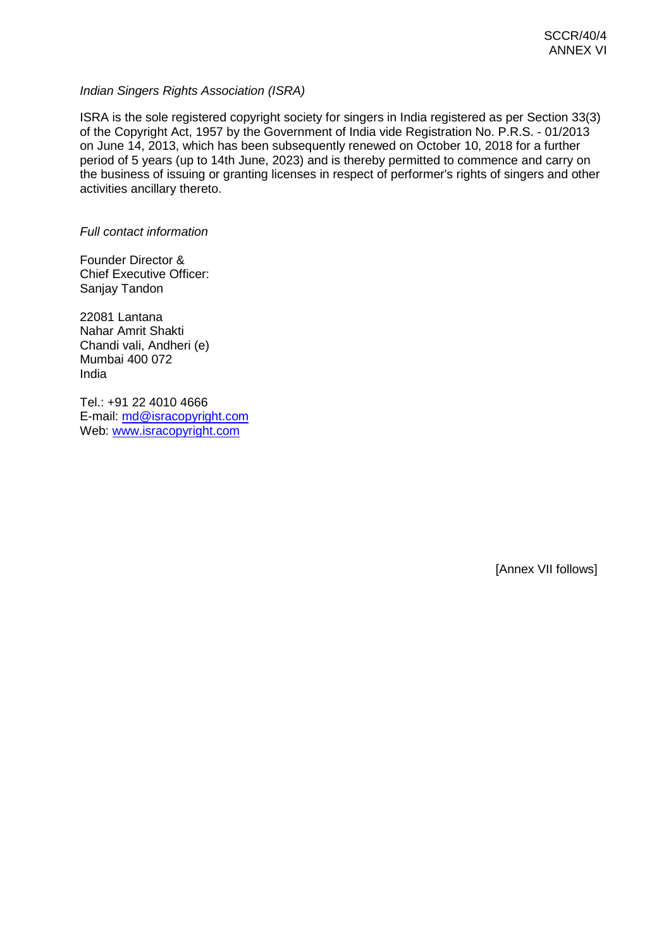# *Indian Singers Rights Association (ISRA)*

ISRA is the sole registered copyright society for singers in India registered as per Section 33(3) of the Copyright Act, 1957 by the Government of India vide Registration No. P.R.S. - 01/2013 on June 14, 2013, which has been subsequently renewed on October 10, 2018 for a further period of 5 years (up to 14th June, 2023) and is thereby permitted to commence and carry on the business of issuing or granting licenses in respect of performer's rights of singers and other activities ancillary thereto.

*Full contact information*

Founder Director & Chief Executive Officer: Sanjay Tandon

22081 Lantana Nahar Amrit Shakti Chandi vali, Andheri (e) Mumbai 400 072 India

Tel.: +91 22 4010 4666 E-mail: [md@isracopyright.com](mailto:md@isracopyright.com) Web: [www.isracopyright.com](http://www.isracopyright.com/)

[Annex VII follows]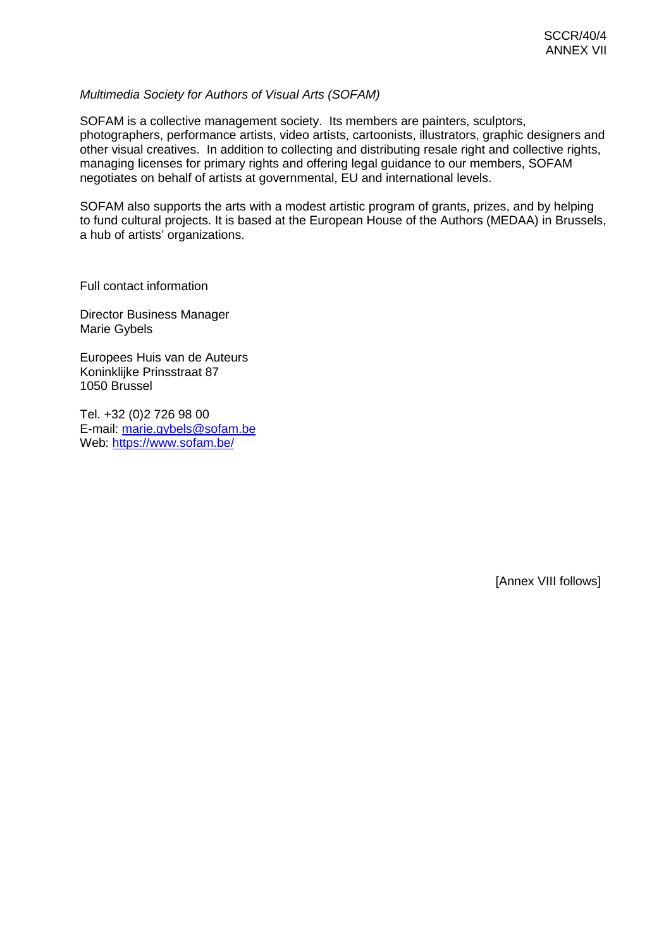### *Multimedia Society for Authors of Visual Arts (SOFAM)*

SOFAM is a collective management society. Its members are painters, sculptors, photographers, performance artists, video artists, cartoonists, illustrators, graphic designers and other visual creatives. In addition to collecting and distributing resale right and collective rights, managing licenses for primary rights and offering legal guidance to our members, SOFAM negotiates on behalf of artists at governmental, EU and international levels.

SOFAM also supports the arts with a modest artistic program of grants, prizes, and by helping to fund cultural projects. It is based at the European House of the Authors (MEDAA) in Brussels, a hub of artists' organizations.

Full contact information

Director Business Manager Marie Gybels

Europees Huis van de Auteurs Koninklijke Prinsstraat 87 1050 Brussel

Tel. +32 (0)2 726 98 00 E-mail: [marie.gybels@sofam.be](mailto:marie.gybels@sofam.be) Web: <https://www.sofam.be/>

[Annex VIII follows]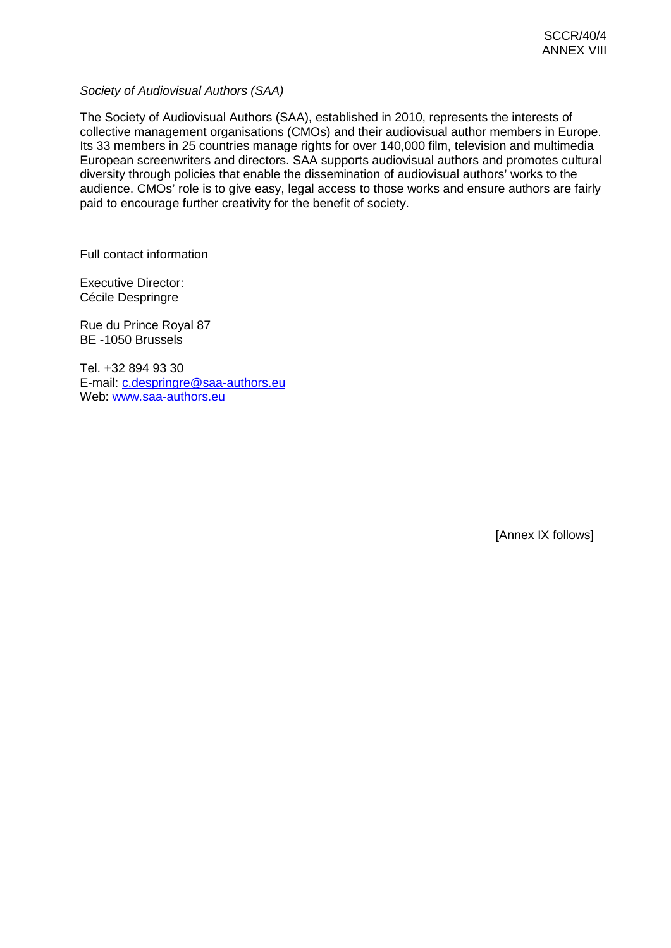*Society of Audiovisual Authors (SAA)*

The Society of Audiovisual Authors (SAA), established in 2010, represents the interests of collective management organisations (CMOs) and their audiovisual author members in Europe. Its 33 members in 25 countries manage rights for over 140,000 film, television and multimedia European screenwriters and directors. SAA supports audiovisual authors and promotes cultural diversity through policies that enable the dissemination of audiovisual authors' works to the audience. CMOs' role is to give easy, legal access to those works and ensure authors are fairly paid to encourage further creativity for the benefit of society.

Full contact information

Executive Director: Cécile Despringre

Rue du Prince Royal 87 BE -1050 Brussels

Tel. +32 894 93 30 E-mail: [c.despringre@saa-authors.eu](mailto:c.despringre@saa-authors.eu) Web: [www.saa-authors.eu](http://www.saa-authors.eu/)

[Annex IX follows]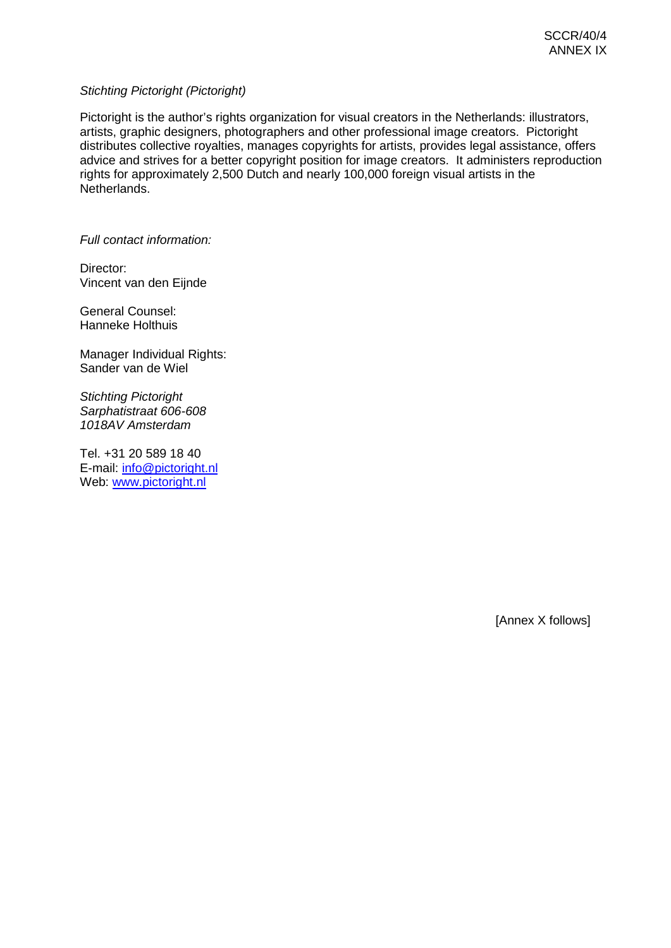# *Stichting Pictoright (Pictoright)*

Pictoright is the author's rights organization for visual creators in the Netherlands: illustrators, artists, graphic designers, photographers and other professional image creators. Pictoright distributes collective royalties, manages copyrights for artists, provides legal assistance, offers advice and strives for a better copyright position for image creators. It administers reproduction rights for approximately 2,500 Dutch and nearly 100,000 foreign visual artists in the Netherlands.

*Full contact information:*

Director: Vincent van den Eijnde

General Counsel: Hanneke Holthuis

Manager Individual Rights: Sander van de Wiel

*Stichting Pictoright Sarphatistraat 606-608 1018AV Amsterdam*

Tel. +31 20 589 18 40 E-mail: [info@pictoright.nl](mailto:info@pictoright.nl) Web: [www.pictoright.nl](http://www.pictoright.nl/)

[Annex X follows]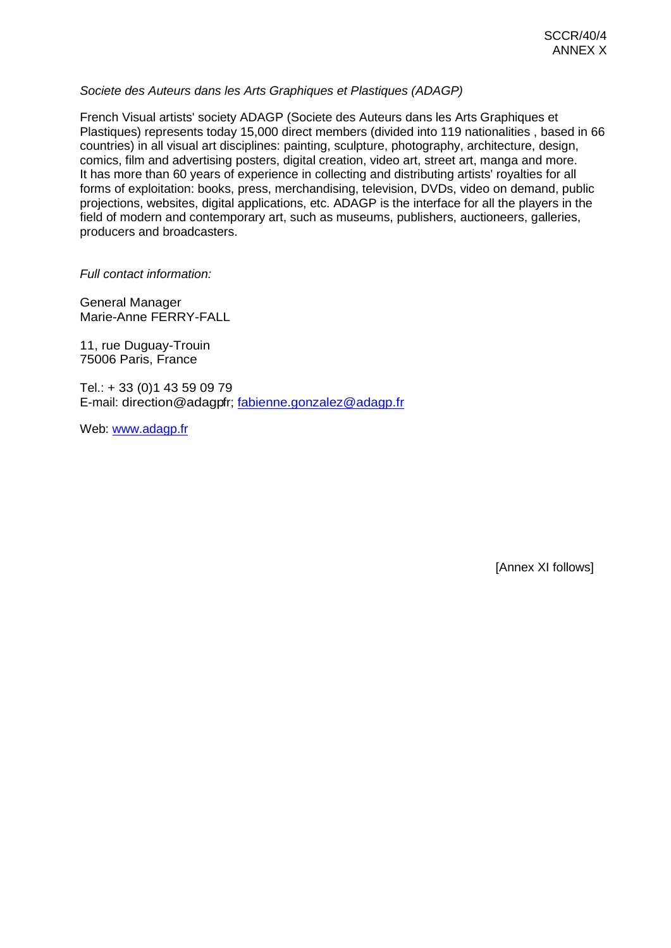# *Societe des Auteurs dans les Arts Graphiques et Plastiques (ADAGP)*

French Visual artists' society ADAGP (Societe des Auteurs dans les Arts Graphiques et Plastiques) represents today 15,000 direct members (divided into 119 nationalities , based in 66 countries) in all visual art disciplines: painting, sculpture, photography, architecture, design, comics, film and advertising posters, digital creation, video art, street art, manga and more. It has more than 60 years of experience in collecting and distributing artists' royalties for all forms of exploitation: books, press, merchandising, television, DVDs, video on demand, public projections, websites, digital applications, etc. ADAGP is the interface for all the players in the field of modern and contemporary art, such as museums, publishers, auctioneers, galleries, producers and broadcasters.

*Full contact information:*

General Manager Marie-Anne FERRY-FALL

11, rue Duguay-Trouin 75006 Paris, France

Tel.: + 33 (0)1 43 59 09 79 E-mail: direction@adagpfr; [fabienne.gonzalez@adagp.fr](mailto:fabienne.gonzalez@adagp.fr)

Web: [www.adagp.fr](http://www.adagp.fr/)

[Annex XI follows]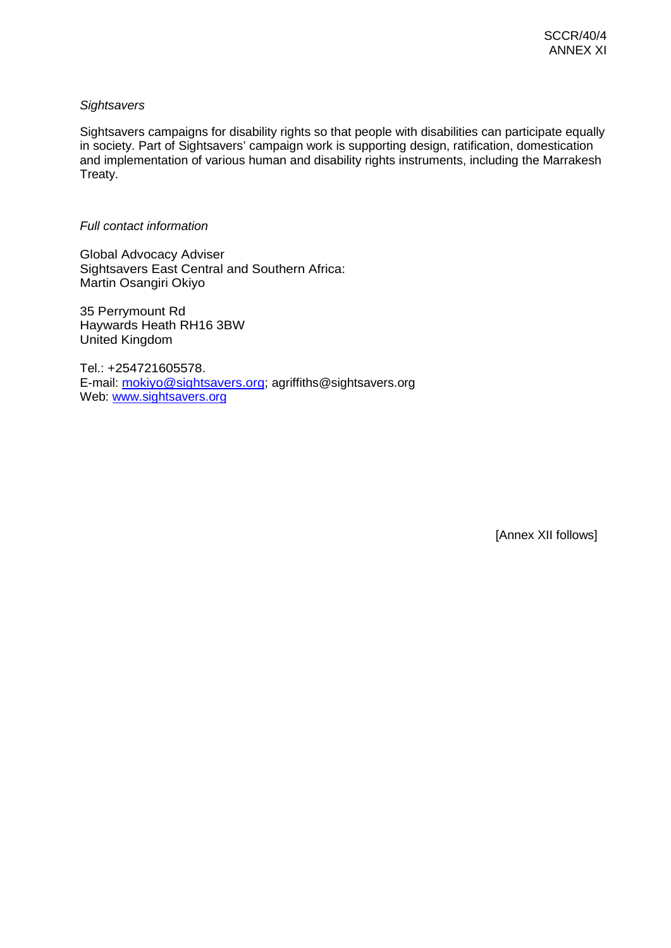# *Sightsavers*

Sightsavers campaigns for disability rights so that people with disabilities can participate equally in society. Part of Sightsavers' campaign work is supporting design, ratification, domestication and implementation of various human and disability rights instruments, including the Marrakesh Treaty.

# *Full contact information*

Global Advocacy Adviser Sightsavers East Central and Southern Africa: Martin Osangiri Okiyo

35 Perrymount Rd Haywards Heath RH16 3BW United Kingdom

Tel.: +254721605578. E-mail: [mokiyo@sightsavers.org;](mailto:mokiyo@sightsavers.org) agriffiths@sightsavers.org Web: [www.sightsavers.org](http://www.sightsavers.org/)

[Annex XII follows]